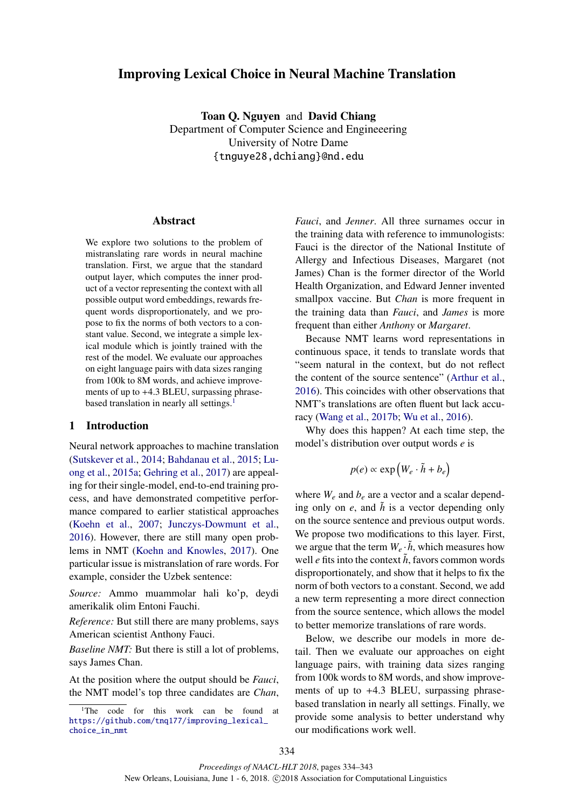# Improving Lexical Choice in Neural Machine Translation

Toan Q. Nguyen and David Chiang Department of Computer Science and Engineeering University of Notre Dame {tnguye28,dchiang}@nd.edu

## Abstract

We explore two solutions to the problem of mistranslating rare words in neural machine translation. First, we argue that the standard output layer, which computes the inner product of a vector representing the context with all possible output word embeddings, rewards frequent words disproportionately, and we propose to fix the norms of both vectors to a constant value. Second, we integrate a simple lexical module which is jointly trained with the rest of the model. We evaluate our approaches on eight language pairs with data sizes ranging from 100k to 8M words, and achieve improvements of up to +4.3 BLEU, surpassing phrasebased translation in nearly all settings.<sup>1</sup>

## 1 Introduction

Neural network approaches to machine translation (Sutskever et al., 2014; Bahdanau et al., 2015; Luong et al., 2015a; Gehring et al., 2017) are appealing for their single-model, end-to-end training process, and have demonstrated competitive performance compared to earlier statistical approaches (Koehn et al., 2007; Junczys-Dowmunt et al., 2016). However, there are still many open problems in NMT (Koehn and Knowles, 2017). One particular issue is mistranslation of rare words. For example, consider the Uzbek sentence:

*Source:* Ammo muammolar hali ko'p, deydi amerikalik olim Entoni Fauchi.

*Reference:* But still there are many problems, says American scientist Anthony Fauci.

*Baseline NMT:* But there is still a lot of problems, says James Chan.

At the position where the output should be *Fauci*, the NMT model's top three candidates are *Chan*,

*Fauci*, and *Jenner*. All three surnames occur in the training data with reference to immunologists: Fauci is the director of the National Institute of Allergy and Infectious Diseases, Margaret (not James) Chan is the former director of the World Health Organization, and Edward Jenner invented smallpox vaccine. But *Chan* is more frequent in the training data than *Fauci*, and *James* is more frequent than either *Anthony* or *Margaret*.

Because NMT learns word representations in continuous space, it tends to translate words that "seem natural in the context, but do not reflect the content of the source sentence" (Arthur et al., 2016). This coincides with other observations that NMT's translations are often fluent but lack accuracy (Wang et al., 2017b; Wu et al., 2016).

Why does this happen? At each time step, the model's distribution over output words *e* is

$$
p(e) \propto \exp\left(W_e \cdot \tilde{h} + b_e\right)
$$

where  $W_e$  and  $b_e$  are a vector and a scalar depending only on  $e$ , and  $\tilde{h}$  is a vector depending only on the source sentence and previous output words. We propose two modifications to this layer. First, we argue that the term  $W_e \cdot \tilde{h}$ , which measures how well *e* fits into the context  $\tilde{h}$ , favors common words disproportionately, and show that it helps to fix the norm of both vectors to a constant. Second, we add a new term representing a more direct connection from the source sentence, which allows the model to better memorize translations of rare words.

Below, we describe our models in more detail. Then we evaluate our approaches on eight language pairs, with training data sizes ranging from 100k words to 8M words, and show improvements of up to +4.3 BLEU, surpassing phrasebased translation in nearly all settings. Finally, we provide some analysis to better understand why our modifications work well.

<sup>&</sup>lt;sup>1</sup>The code for this work can be found at https://github.com/tnq177/improving\_lexical\_ choice\_in\_nmt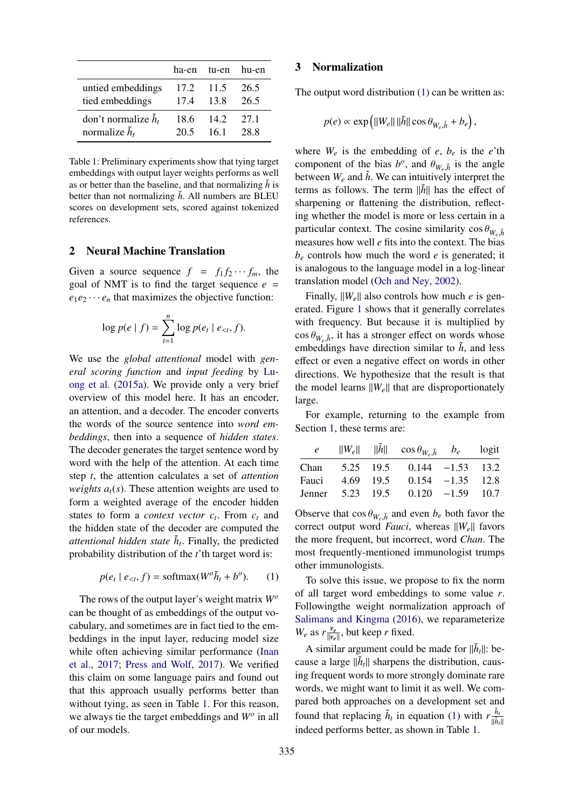|                               |      | ha-en tu-en hu-en |      |
|-------------------------------|------|-------------------|------|
| untied embeddings             | 17.2 | 11.5              | 26.5 |
| tied embeddings               | 17.4 | 13.8              | 26.5 |
| don't normalize $\tilde{h}_t$ | 18.6 | 142               | 27.1 |
| normalize $\tilde{h}_t$       | 20.5 | 161               | 28.8 |

Table 1: Preliminary experiments show that tying target embeddings with output layer weights performs as well as or better than the baseline, and that normalizing  $\tilde{h}$  is better than not normalizing  $\hat{h}$ . All numbers are BLEU scores on development sets, scored against tokenized references.

## 2 Neural Machine Translation

Given a source sequence  $f = f_1 f_2 \cdots f_m$ , the goal of NMT is to find the target sequence  $e =$  $e_1e_2 \cdots e_n$  that maximizes the objective function:

$$
\log p(e | f) = \sum_{t=1}^{n} \log p(e_t | e_{lt}, f).
$$

We use the *global attentional* model with *general scoring function* and *input feeding* by Luong et al. (2015a). We provide only a very brief overview of this model here. It has an encoder, an attention, and a decoder. The encoder converts the words of the source sentence into *word embeddings*, then into a sequence of *hidden states*. The decoder generates the target sentence word by word with the help of the attention. At each time step *t*, the attention calculates a set of *attention weights*  $a_t(s)$ *. These attention weights are used to* form a weighted average of the encoder hidden states to form a *context vector*  $c_t$ . From  $c_t$  and the hidden state of the decoder are computed the *attentional hidden state*  $\tilde{h}_t$ . Finally, the predicted probability distribution of the *t*'th target word is:

$$
p(e_t \mid e_{< t}, f) = \text{softmax}(W^o \tilde{h}_t + b^o). \tag{1}
$$

The rows of the output layer's weight matrix *W<sup>o</sup>* can be thought of as embeddings of the output vocabulary, and sometimes are in fact tied to the embeddings in the input layer, reducing model size while often achieving similar performance (Inan et al., 2017; Press and Wolf, 2017). We verified this claim on some language pairs and found out that this approach usually performs better than without tying, as seen in Table 1. For this reason, we always tie the target embeddings and *W<sup>o</sup>* in all of our models.

#### 3 Normalization

The output word distribution (1) can be written as:

$$
p(e) \propto \exp\left(||W_e|| \, ||\tilde{h}|| \cos \theta_{W_e, \tilde{h}} + b_e\right),\,
$$

where  $W_e$  is the embedding of  $e$ ,  $b_e$  is the  $e$ 'th component of the bias  $b^o$ , and  $\theta_{W_e,\tilde{h}}$  is the angle between  $W_e$  and  $\tilde{h}$ . We can intuitively interpret the terms as follows. The term  $\|\tilde{h}\|$  has the effect of sharpening or flattening the distribution, reflecting whether the model is more or less certain in a particular context. The cosine similarity  $\cos \theta_{W_{\alpha} \tilde{h}}$ measures how well *e* fits into the context. The bias  $b_e$  controls how much the word *e* is generated; it is analogous to the language model in a log-linear translation model (Och and Ney, 2002).

Finally,  $||W_e||$  also controls how much *e* is generated. Figure 1 shows that it generally correlates with frequency. But because it is multiplied by  $\cos \theta_{W_{\perp} \tilde{h}}$ , it has a stronger effect on words whose embeddings have direction similar to  $\tilde{h}$ , and less effect or even a negative effect on words in other directions. We hypothesize that the result is that the model learns  $\|W_e\|$  that are disproportionately large.

For example, returning to the example from Section 1, these terms are:

| Jenner |           |           |                                                                                                                                                    |
|--------|-----------|-----------|----------------------------------------------------------------------------------------------------------------------------------------------------|
|        | 4.69 19.5 | 5.23 19.5 | $  W_e  $ $  \tilde{h}  $ $\cos \theta_{W_e, \tilde{h}}$ $b_e$ logit<br>$5.25$ 19.5 0.144 $-1.53$ 13.2<br>$0.154 -1.35$ 12.8<br>$0.120 -1.59 10.7$ |

Observe that  $\cos \theta_{W_e, h}$  and even  $b_e$  both favor the correct output word *Fauci*, whereas  $||W_e||$  favors the more frequent, but incorrect, word *Chan*. The most frequently-mentioned immunologist trumps other immunologists.

To solve this issue, we propose to fix the norm of all target word embeddings to some value *r*. Followingthe weight normalization approach of Salimans and Kingma (2016), we reparameterize  $W_e$  as  $r \frac{v_e}{||v_e||}$  $\frac{v_e}{\|v_e\|}$ , but keep *r* fixed.

A similar argument could be made for  $\|\tilde{h}_t\|$ : because a large  $\|\tilde{h}_t\|$  sharpens the distribution, causing frequent words to more strongly dominate rare words, we might want to limit it as well. We compared both approaches on a development set and found that replacing  $\tilde{h}_t$  in equation (1) with  $r \frac{\tilde{h}_t}{\|\tilde{h}_t\|}$ indeed performs better, as shown in Table 1.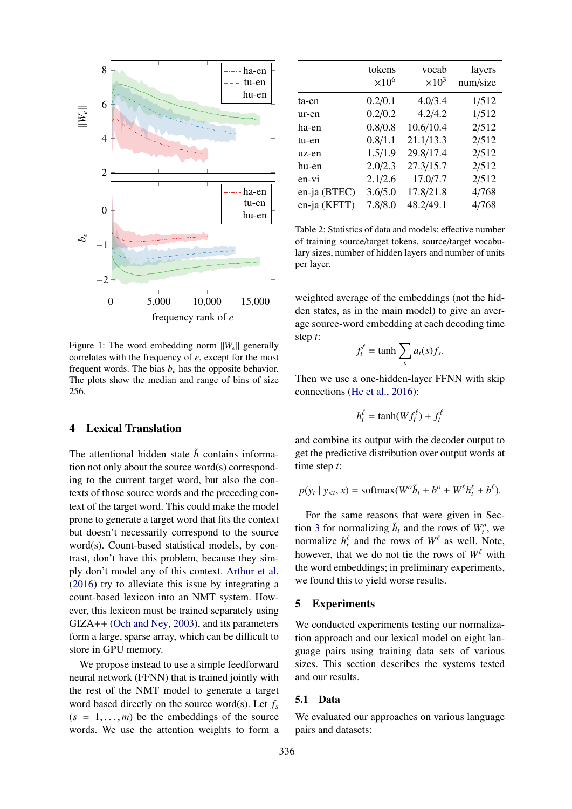

Figure 1: The word embedding norm  $||W_e||$  generally correlates with the frequency of *e*, except for the most frequent words. The bias  $b_e$  has the opposite behavior. The plots show the median and range of bins of size 256.

## 4 Lexical Translation

The attentional hidden state  $\tilde{h}$  contains information not only about the source word(s) corresponding to the current target word, but also the contexts of those source words and the preceding context of the target word. This could make the model prone to generate a target word that fits the context but doesn't necessarily correspond to the source word(s). Count-based statistical models, by contrast, don't have this problem, because they simply don't model any of this context. Arthur et al. (2016) try to alleviate this issue by integrating a count-based lexicon into an NMT system. However, this lexicon must be trained separately using GIZA++ (Och and Ney, 2003), and its parameters form a large, sparse array, which can be difficult to store in GPU memory.

We propose instead to use a simple feedforward neural network (FFNN) that is trained jointly with the rest of the NMT model to generate a target word based directly on the source word(s). Let *f<sup>s</sup>*  $(s = 1, \ldots, m)$  be the embeddings of the source words. We use the attention weights to form a

|              | tokens<br>$\times 10^6$ | vocab<br>$\times 10^3$ | layers<br>num/size |
|--------------|-------------------------|------------------------|--------------------|
| ta-en        | 0.2/0.1                 | 4.0/3.4                | 1/512              |
| ur-en        | 0.2/0.2                 | 4.2/4.2                | 1/512              |
| ha-en        | 0.8/0.8                 | 10.6/10.4              | 2/512              |
| tu-en        | 0.8/1.1                 | 21.1/13.3              | 2/512              |
| uz-en        | 1.5/1.9                 | 29.8/17.4              | 2/512              |
| hu-en        | 2.0/2.3                 | 27.3/15.7              | 2/512              |
| en-vi        | 2.1/2.6                 | 17.0/7.7               | 2/512              |
| en-ja (BTEC) | 3.6/5.0                 | 17.8/21.8              | 4/768              |
| en-ja (KFTT) | 7.8/8.0                 | 48.2/49.1              | 4/768              |

Table 2: Statistics of data and models: effective number of training source/target tokens, source/target vocabulary sizes, number of hidden layers and number of units per layer.

weighted average of the embeddings (not the hidden states, as in the main model) to give an average source-word embedding at each decoding time step *t*:

$$
f_t^{\ell} = \tanh \sum_s a_t(s) f_s.
$$

Then we use a one-hidden-layer FFNN with skip connections (He et al., 2016):

$$
h_t^{\ell} = \tanh(Wf_t^{\ell}) + f_t^{\ell}
$$

and combine its output with the decoder output to get the predictive distribution over output words at time step *t*:

$$
p(y_t | y_{< t}, x) = \text{softmax}(W^o \tilde{h}_t + b^o + W^{\ell} h^{\ell}_t + b^{\ell}).
$$

For the same reasons that were given in Section 3 for normalizing  $\tilde{h}_t$  and the rows of  $W_t^o$ , we normalize  $h_t^{\ell}$  and the rows of  $W^{\ell}$  as well. Note, however, that we do not tie the rows of  $W^{\ell}$  with the word embeddings; in preliminary experiments, we found this to yield worse results.

## 5 Experiments

We conducted experiments testing our normalization approach and our lexical model on eight language pairs using training data sets of various sizes. This section describes the systems tested and our results.

#### 5.1 Data

We evaluated our approaches on various language pairs and datasets: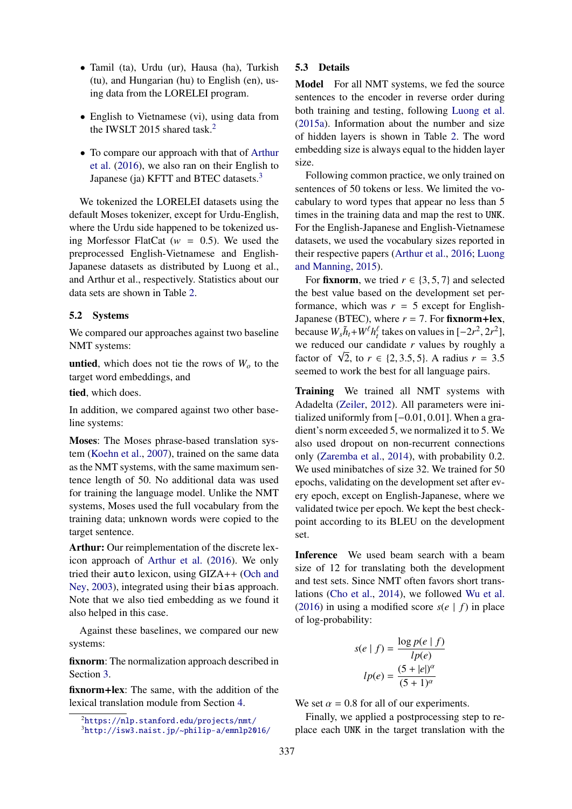- Tamil (ta), Urdu (ur), Hausa (ha), Turkish (tu), and Hungarian (hu) to English (en), using data from the LORELEI program.
- English to Vietnamese (vi), using data from the IWSLT 2015 shared task.<sup>2</sup>
- To compare our approach with that of Arthur et al. (2016), we also ran on their English to Japanese (ja) KFTT and BTEC datasets.<sup>3</sup>

We tokenized the LORELEI datasets using the default Moses tokenizer, except for Urdu-English, where the Urdu side happened to be tokenized using Morfessor FlatCat ( $w = 0.5$ ). We used the preprocessed English-Vietnamese and English-Japanese datasets as distributed by Luong et al., and Arthur et al., respectively. Statistics about our data sets are shown in Table 2.

## 5.2 Systems

We compared our approaches against two baseline NMT systems:

**untied**, which does not tie the rows of  $W<sub>o</sub>$  to the target word embeddings, and

tied, which does.

In addition, we compared against two other baseline systems:

Moses: The Moses phrase-based translation system (Koehn et al., 2007), trained on the same data as the NMT systems, with the same maximum sentence length of 50. No additional data was used for training the language model. Unlike the NMT systems, Moses used the full vocabulary from the training data; unknown words were copied to the target sentence.

Arthur: Our reimplementation of the discrete lexicon approach of Arthur et al. (2016). We only tried their auto lexicon, using GIZA++ (Och and Ney, 2003), integrated using their bias approach. Note that we also tied embedding as we found it also helped in this case.

Against these baselines, we compared our new systems:

fixnorm: The normalization approach described in Section 3.

fixnorm+lex: The same, with the addition of the lexical translation module from Section 4.

## 5.3 Details

Model For all NMT systems, we fed the source sentences to the encoder in reverse order during both training and testing, following Luong et al. (2015a). Information about the number and size of hidden layers is shown in Table 2. The word embedding size is always equal to the hidden layer size.

Following common practice, we only trained on sentences of 50 tokens or less. We limited the vocabulary to word types that appear no less than 5 times in the training data and map the rest to UNK. For the English-Japanese and English-Vietnamese datasets, we used the vocabulary sizes reported in their respective papers (Arthur et al., 2016; Luong and Manning, 2015).

For **fixnorm**, we tried  $r \in \{3, 5, 7\}$  and selected the best value based on the development set performance, which was  $r = 5$  except for English-Japanese (BTEC), where  $r = 7$ . For fixnorm+lex, because  $W_s \tilde{h}_t + W^{\ell} h_t^{\ell}$  takes on values in  $[-2r^2, 2r^2]$ , we reduced our candidate *r* values by roughly a factor of  $\sqrt{2}$ , to *r* ∈ {2, 3.5, 5}. A radius *r* = 3.5 seemed to work the best for all language pairs.

Training We trained all NMT systems with Adadelta (Zeiler, 2012). All parameters were initialized uniformly from [−0.01, 0.01]. When a gradient's norm exceeded 5, we normalized it to 5. We also used dropout on non-recurrent connections only (Zaremba et al., 2014), with probability 0.2. We used minibatches of size 32. We trained for 50 epochs, validating on the development set after every epoch, except on English-Japanese, where we validated twice per epoch. We kept the best checkpoint according to its BLEU on the development set.

Inference We used beam search with a beam size of 12 for translating both the development and test sets. Since NMT often favors short translations (Cho et al., 2014), we followed Wu et al. (2016) in using a modified score  $s(e | f)$  in place of log-probability:

$$
s(e \mid f) = \frac{\log p(e \mid f)}{lp(e)}
$$

$$
lp(e) = \frac{(5 + |e|)^{\alpha}}{(5 + 1)^{\alpha}}
$$

We set  $\alpha = 0.8$  for all of our experiments.

Finally, we applied a postprocessing step to replace each UNK in the target translation with the

 $^{2}$ https://nlp.stanford.edu/projects/nmt/

<sup>3</sup>http://isw3.naist.jp/~philip-a/emnlp2016/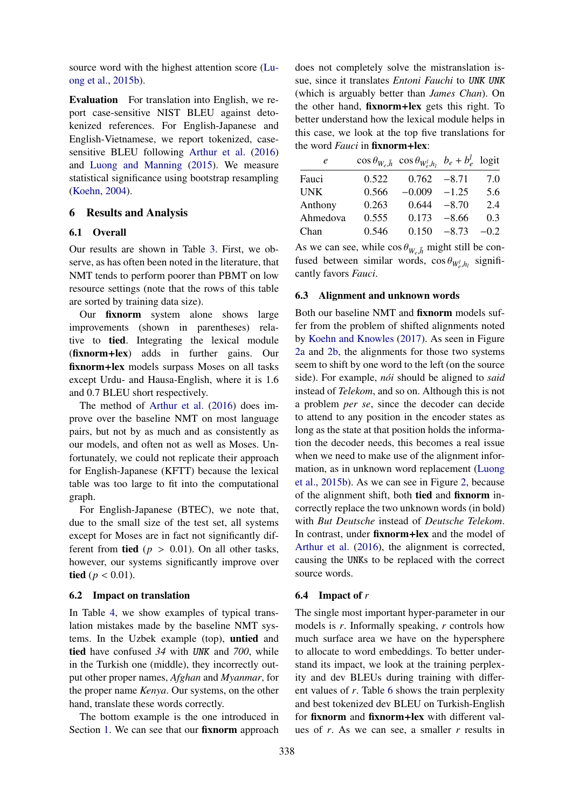source word with the highest attention score (Luong et al., 2015b).

Evaluation For translation into English, we report case-sensitive NIST BLEU against detokenized references. For English-Japanese and English-Vietnamese, we report tokenized, casesensitive BLEU following Arthur et al. (2016) and Luong and Manning (2015). We measure statistical significance using bootstrap resampling (Koehn, 2004).

#### 6 Results and Analysis

#### 6.1 Overall

Our results are shown in Table 3. First, we observe, as has often been noted in the literature, that NMT tends to perform poorer than PBMT on low resource settings (note that the rows of this table are sorted by training data size).

Our fixnorm system alone shows large improvements (shown in parentheses) relative to tied. Integrating the lexical module (fixnorm+lex) adds in further gains. Our fixnorm+lex models surpass Moses on all tasks except Urdu- and Hausa-English, where it is 1.6 and 0.7 BLEU short respectively.

The method of Arthur et al. (2016) does improve over the baseline NMT on most language pairs, but not by as much and as consistently as our models, and often not as well as Moses. Unfortunately, we could not replicate their approach for English-Japanese (KFTT) because the lexical table was too large to fit into the computational graph.

For English-Japanese (BTEC), we note that, due to the small size of the test set, all systems except for Moses are in fact not significantly different from **tied** ( $p > 0.01$ ). On all other tasks, however, our systems significantly improve over tied ( $p < 0.01$ ).

### 6.2 Impact on translation

In Table 4, we show examples of typical translation mistakes made by the baseline NMT systems. In the Uzbek example (top), untied and tied have confused *34* with UNK and *700*, while in the Turkish one (middle), they incorrectly output other proper names, *Afghan* and *Myanmar*, for the proper name *Kenya*. Our systems, on the other hand, translate these words correctly.

The bottom example is the one introduced in Section 1. We can see that our **fixnorm** approach

does not completely solve the mistranslation issue, since it translates *Entoni Fauchi* to UNK UNK (which is arguably better than *James Chan*). On the other hand, fixnorm+lex gets this right. To better understand how the lexical module helps in this case, we look at the top five translations for the word *Fauci* in fixnorm+lex:

| e          |       | $\cos \theta_{W_e, \tilde{h}} \cos \theta_{W_e, h_l}$ $b_e + b_e^l$ logit |         |        |
|------------|-------|---------------------------------------------------------------------------|---------|--------|
| Fauci      | 0.522 | 0.762                                                                     | $-8.71$ | 7.0    |
| <b>UNK</b> | 0.566 | $-0.009$                                                                  | $-1.25$ | 5.6    |
| Anthony    | 0.263 | 0.644                                                                     | $-8.70$ | 2.4    |
| Ahmedova   | 0.555 | 0.173                                                                     | $-8.66$ | 0.3    |
| Chan       | 0.546 | $0.150 - 8.73$                                                            |         | $-0.2$ |

As we can see, while  $\cos \theta_{W_e, \tilde{h}}$  might still be confused between similar words,  $\cos \theta_{W_e^l, h_l}$  significantly favors *Fauci*.

#### 6.3 Alignment and unknown words

Both our baseline NMT and fixnorm models suffer from the problem of shifted alignments noted by Koehn and Knowles (2017). As seen in Figure 2a and 2b, the alignments for those two systems seem to shift by one word to the left (on the source side). For example, *nói* should be aligned to *said* instead of *Telekom*, and so on. Although this is not a problem *per se*, since the decoder can decide to attend to any position in the encoder states as long as the state at that position holds the information the decoder needs, this becomes a real issue when we need to make use of the alignment information, as in unknown word replacement (Luong et al., 2015b). As we can see in Figure 2, because of the alignment shift, both tied and fixnorm incorrectly replace the two unknown words (in bold) with *But Deutsche* instead of *Deutsche Telekom*. In contrast, under fixnorm+lex and the model of Arthur et al. (2016), the alignment is corrected, causing the UNKs to be replaced with the correct source words.

## 6.4 Impact of *r*

The single most important hyper-parameter in our models is *r*. Informally speaking, *r* controls how much surface area we have on the hypersphere to allocate to word embeddings. To better understand its impact, we look at the training perplexity and dev BLEUs during training with different values of *r*. Table 6 shows the train perplexity and best tokenized dev BLEU on Turkish-English for fixnorm and fixnorm+lex with different values of *r*. As we can see, a smaller *r* results in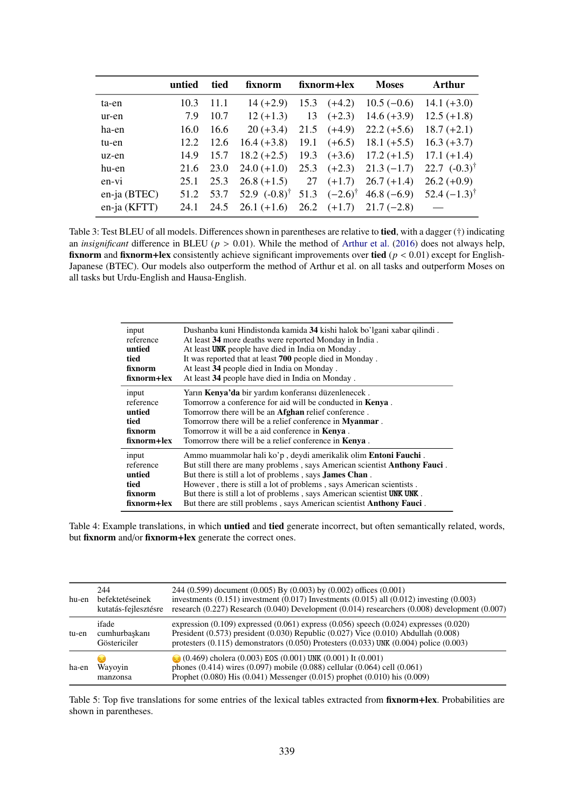|                | untied | tied | fixnorm                                                                                         | fixnorm+lex | <b>Moses</b>                                            | Arthur                                                       |
|----------------|--------|------|-------------------------------------------------------------------------------------------------|-------------|---------------------------------------------------------|--------------------------------------------------------------|
| ta-en          | 10.3   | 11.1 | $14 (+2.9)$                                                                                     |             | 15.3 $(+4.2)$ 10.5 $(-0.6)$ 14.1 $(+3.0)$               |                                                              |
| ur-en          | 7.9    | 10.7 | $12 (+1.3)$                                                                                     |             | 13 $(+2.3)$ 14.6 $(+3.9)$ 12.5 $(+1.8)$                 |                                                              |
| ha-en          | 16.0   | 16.6 |                                                                                                 |             | $20 (+3.4)$ $21.5$ $(+4.9)$ $22.2 (+5.6)$ $18.7 (+2.1)$ |                                                              |
| tu-en          | 12.2   | 12.6 |                                                                                                 |             | $16.4 (+3.8)$ 19.1 $(+6.5)$ 18.1 $(+5.5)$ 16.3 $(+3.7)$ |                                                              |
| uz-en          | 14.9   | 15.7 |                                                                                                 |             | $18.2 (+2.5)$ $19.3 (+3.6)$ $17.2 (+1.5)$ $17.1 (+1.4)$ |                                                              |
| hu-en          | 21.6   | 23.0 |                                                                                                 |             |                                                         | 24.0 (+1.0) 25.3 (+2.3) 21.3 (-1.7) 22.7 (-0.3) <sup>†</sup> |
| en-vi          | 25.1   | 25.3 |                                                                                                 |             | $26.8 (+1.5)$ 27 $(+1.7)$ 26.7 $(+1.4)$ 26.2 $(+0.9)$   |                                                              |
| en-ja $(BTEC)$ |        |      | 51.2 53.7 52.9 $(-0.8)^{\dagger}$ 51.3 $(-2.6)^{\dagger}$ 46.8 $(-6.9)$ 52.4 $(-1.3)^{\dagger}$ |             |                                                         |                                                              |
| en-ja (KFTT)   | 24.1   |      | $24.5$ $26.1$ (+1.6) $26.2$ (+1.7) $21.7$ (-2.8) -                                              |             |                                                         |                                                              |

Table 3: Test BLEU of all models. Differences shown in parentheses are relative to **tied**, with a dagger (†) indicating an *insignificant* difference in BLEU (*p* > 0.01). While the method of Arthur et al. (2016) does not always help, fixnorm and fixnorm+lex consistently achieve significant improvements over tied ( $p < 0.01$ ) except for English-Japanese (BTEC). Our models also outperform the method of Arthur et al. on all tasks and outperform Moses on all tasks but Urdu-English and Hausa-English.

| input       | Dushanba kuni Hindistonda kamida 34 kishi halok bo'lgani xabar qilindi.   |
|-------------|---------------------------------------------------------------------------|
| reference   | At least 34 more deaths were reported Monday in India.                    |
| untied      | At least UNK people have died in India on Monday.                         |
| tied        | It was reported that at least 700 people died in Monday.                  |
| fixnorm     | At least 34 people died in India on Monday.                               |
| fixnorm+lex | At least 34 people have died in India on Monday.                          |
| input       | Yarın <b>Kenya'da</b> bir yardım konferansı düzenlenecek.                 |
| reference   | Tomorrow a conference for aid will be conducted in <b>Kenya</b> .         |
| untied      | Tomorrow there will be an <b>Afghan</b> relief conference.                |
| tied        | Tomorrow there will be a relief conference in <b>Myanmar</b> .            |
| fixnorm     | Tomorrow it will be a aid conference in <b>Kenya</b> .                    |
| fixnorm+lex | Tomorrow there will be a relief conference in <b>Kenya</b> .              |
| input       | Ammo muammolar hali ko'p, deydi amerikalik olim <b>Entoni Fauchi</b> .    |
| reference   | But still there are many problems, says American scientist Anthony Fauci. |
| untied      | But there is still a lot of problems, says James Chan.                    |
| tied        | However, there is still a lot of problems, says American scientists.      |
| fixnorm     | But there is still a lot of problems, says American scientist UNK UNK.    |
| fixnorm+lex | But there are still problems, says American scientist Anthony Fauci.      |

Table 4: Example translations, in which untied and tied generate incorrect, but often semantically related, words, but fixnorm and/or fixnorm+lex generate the correct ones.

| hu-en | 244<br>befektetéseinek<br>kutatás-fejlesztésre | 244 (0.599) document (0.005) By (0.003) by (0.002) offices (0.001)<br>investments $(0.151)$ investment $(0.017)$ Investments $(0.015)$ all $(0.012)$ investing $(0.003)$<br>research $(0.227)$ Research $(0.040)$ Development $(0.014)$ researchers $(0.008)$ development $(0.007)$       |
|-------|------------------------------------------------|-------------------------------------------------------------------------------------------------------------------------------------------------------------------------------------------------------------------------------------------------------------------------------------------|
| tu-en | ifade<br>cumhurbaskanı<br>Göstericiler         | expression $(0.109)$ expressed $(0.061)$ express $(0.056)$ speech $(0.024)$ expresses $(0.020)$<br>President (0.573) president (0.030) Republic (0.027) Vice (0.010) Abdullah (0.008)<br>protesters $(0.115)$ demonstrators $(0.050)$ Protesters $(0.033)$ UNK $(0.004)$ police $(0.003)$ |
| ha-en | 63<br>Wayoyin<br>manzonsa                      | (0.469) cholera (0.003) EOS (0.001) UNK (0.001) It (0.001)<br>phones $(0.414)$ wires $(0.097)$ mobile $(0.088)$ cellular $(0.064)$ cell $(0.061)$<br>Prophet $(0.080)$ His $(0.041)$ Messenger $(0.015)$ prophet $(0.010)$ his $(0.009)$                                                  |

Table 5: Top five translations for some entries of the lexical tables extracted from fixnorm+lex. Probabilities are shown in parentheses.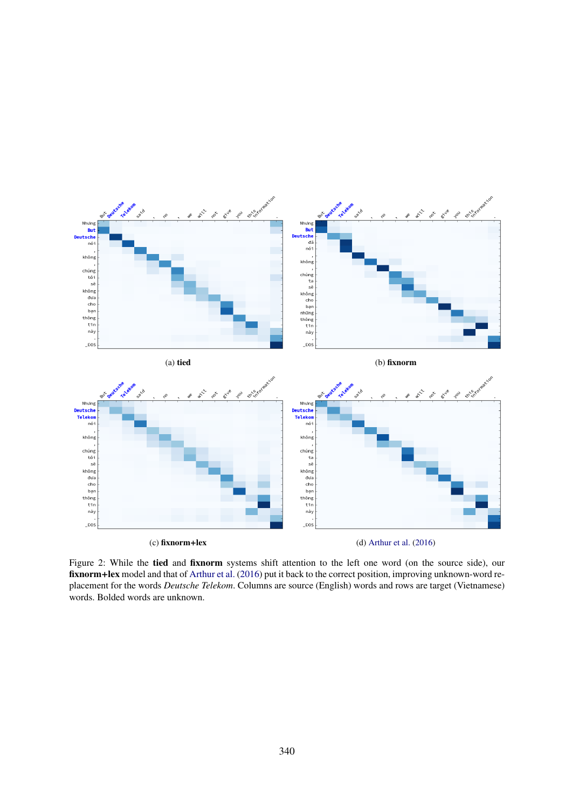

Figure 2: While the tied and fixnorm systems shift attention to the left one word (on the source side), our fixnorm+lex model and that of Arthur et al. (2016) put it back to the correct position, improving unknown-word replacement for the words *Deutsche Telekom*. Columns are source (English) words and rows are target (Vietnamese) words. Bolded words are unknown.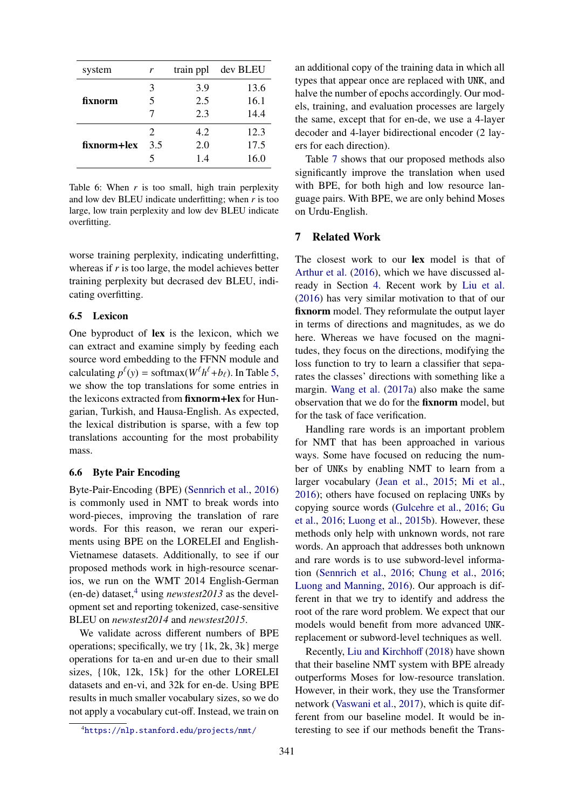| system      | train ppl<br>r        |     | dev BLEU |
|-------------|-----------------------|-----|----------|
|             | 3                     | 3.9 | 13.6     |
| fixnorm     | 5                     | 2.5 | 16.1     |
|             |                       | 2.3 | 14.4     |
|             | $\mathcal{D}_{\cdot}$ | 4.2 | 12.3     |
| fixnorm+lex | 3.5                   | 2.0 | 17.5     |
|             |                       | 1.4 | 16.0     |

Table 6: When  $r$  is too small, high train perplexity and low dev BLEU indicate underfitting; when *r* is too large, low train perplexity and low dev BLEU indicate overfitting.

worse training perplexity, indicating underfitting, whereas if *r* is too large, the model achieves better training perplexity but decrased dev BLEU, indicating overfitting.

### 6.5 Lexicon

One byproduct of lex is the lexicon, which we can extract and examine simply by feeding each source word embedding to the FFNN module and calculating  $p^{\ell}(y) = \text{softmax}(W^{\ell}h^{\ell} + b_{\ell})$ . In Table 5, we show the top translations for some entries in the lexicons extracted from fixnorm+lex for Hungarian, Turkish, and Hausa-English. As expected, the lexical distribution is sparse, with a few top translations accounting for the most probability mass.

## 6.6 Byte Pair Encoding

Byte-Pair-Encoding (BPE) (Sennrich et al., 2016) is commonly used in NMT to break words into word-pieces, improving the translation of rare words. For this reason, we reran our experiments using BPE on the LORELEI and English-Vietnamese datasets. Additionally, to see if our proposed methods work in high-resource scenarios, we run on the WMT 2014 English-German (en-de) dataset,<sup>4</sup> using *newstest2013* as the development set and reporting tokenized, case-sensitive BLEU on *newstest2014* and *newstest2015*.

We validate across different numbers of BPE operations; specifically, we try {1k, 2k, 3k} merge operations for ta-en and ur-en due to their small sizes, {10k, 12k, 15k} for the other LORELEI datasets and en-vi, and 32k for en-de. Using BPE results in much smaller vocabulary sizes, so we do not apply a vocabulary cut-off. Instead, we train on

an additional copy of the training data in which all types that appear once are replaced with UNK, and halve the number of epochs accordingly. Our models, training, and evaluation processes are largely the same, except that for en-de, we use a 4-layer decoder and 4-layer bidirectional encoder (2 layers for each direction).

Table 7 shows that our proposed methods also significantly improve the translation when used with BPE, for both high and low resource language pairs. With BPE, we are only behind Moses on Urdu-English.

### 7 Related Work

The closest work to our **lex** model is that of Arthur et al. (2016), which we have discussed already in Section 4. Recent work by Liu et al. (2016) has very similar motivation to that of our fixnorm model. They reformulate the output layer in terms of directions and magnitudes, as we do here. Whereas we have focused on the magnitudes, they focus on the directions, modifying the loss function to try to learn a classifier that separates the classes' directions with something like a margin. Wang et al. (2017a) also make the same observation that we do for the fixnorm model, but for the task of face verification.

Handling rare words is an important problem for NMT that has been approached in various ways. Some have focused on reducing the number of UNKs by enabling NMT to learn from a larger vocabulary (Jean et al., 2015; Mi et al., 2016); others have focused on replacing UNKs by copying source words (Gulcehre et al., 2016; Gu et al., 2016; Luong et al., 2015b). However, these methods only help with unknown words, not rare words. An approach that addresses both unknown and rare words is to use subword-level information (Sennrich et al., 2016; Chung et al., 2016; Luong and Manning, 2016). Our approach is different in that we try to identify and address the root of the rare word problem. We expect that our models would benefit from more advanced UNKreplacement or subword-level techniques as well.

Recently, Liu and Kirchhoff (2018) have shown that their baseline NMT system with BPE already outperforms Moses for low-resource translation. However, in their work, they use the Transformer network (Vaswani et al., 2017), which is quite different from our baseline model. It would be interesting to see if our methods benefit the Trans-

<sup>4</sup>https://nlp.stanford.edu/projects/nmt/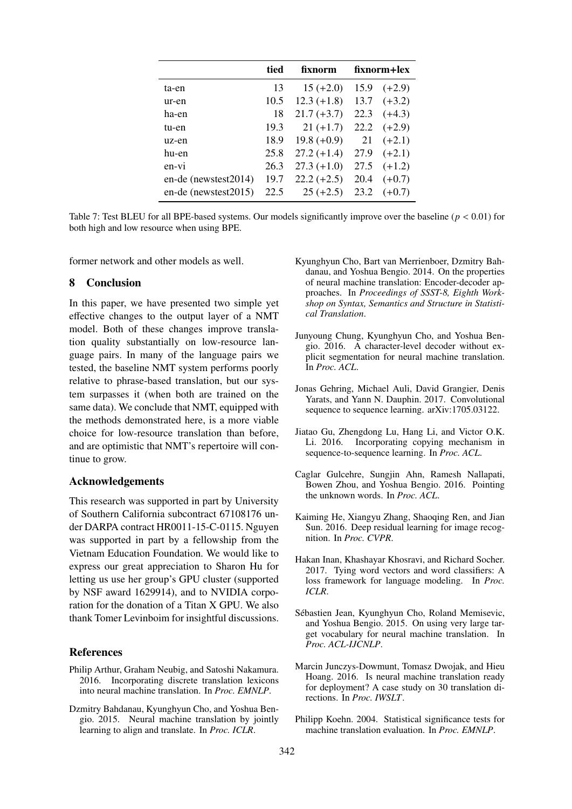|                      | tied | fixnorm       | fixnorm+lex |          |
|----------------------|------|---------------|-------------|----------|
| ta-en                | 13   | $15 (+2.0)$   | 15.9        | $(+2.9)$ |
| ur-en                | 10.5 | $12.3 (+1.8)$ | 13.7        | $(+3.2)$ |
| ha-en                | 18   | $21.7 (+3.7)$ | 22.3        | $(+4.3)$ |
| tu-en                | 19.3 | $21 (+1.7)$   | 22.2        | $(+2.9)$ |
| uz-en                | 18.9 | $19.8 (+0.9)$ | 21          | $(+2.1)$ |
| hu-en                | 25.8 | $27.2 (+1.4)$ | 27.9        | $(+2.1)$ |
| en-vi                | 26.3 | $27.3 (+1.0)$ | 27.5        | $(+1.2)$ |
| en-de (newstest2014) | 19.7 | $22.2 (+2.5)$ | 20.4        | $(+0.7)$ |
| en-de (newstest2015) | 22.5 | $25 (+2.5)$   | 23.2        | $(+0.7)$ |

Table 7: Test BLEU for all BPE-based systems. Our models significantly improve over the baseline ( $p < 0.01$ ) for both high and low resource when using BPE.

former network and other models as well.

### 8 Conclusion

In this paper, we have presented two simple yet effective changes to the output layer of a NMT model. Both of these changes improve translation quality substantially on low-resource language pairs. In many of the language pairs we tested, the baseline NMT system performs poorly relative to phrase-based translation, but our system surpasses it (when both are trained on the same data). We conclude that NMT, equipped with the methods demonstrated here, is a more viable choice for low-resource translation than before, and are optimistic that NMT's repertoire will continue to grow.

# Acknowledgements

This research was supported in part by University of Southern California subcontract 67108176 under DARPA contract HR0011-15-C-0115. Nguyen was supported in part by a fellowship from the Vietnam Education Foundation. We would like to express our great appreciation to Sharon Hu for letting us use her group's GPU cluster (supported by NSF award 1629914), and to NVIDIA corporation for the donation of a Titan X GPU. We also thank Tomer Levinboim for insightful discussions.

#### References

- Philip Arthur, Graham Neubig, and Satoshi Nakamura. 2016. Incorporating discrete translation lexicons into neural machine translation. In *Proc. EMNLP*.
- Dzmitry Bahdanau, Kyunghyun Cho, and Yoshua Bengio. 2015. Neural machine translation by jointly learning to align and translate. In *Proc. ICLR*.
- Kyunghyun Cho, Bart van Merrienboer, Dzmitry Bahdanau, and Yoshua Bengio. 2014. On the properties of neural machine translation: Encoder-decoder approaches. In *Proceedings of SSST-8, Eighth Workshop on Syntax, Semantics and Structure in Statistical Translation*.
- Junyoung Chung, Kyunghyun Cho, and Yoshua Bengio. 2016. A character-level decoder without explicit segmentation for neural machine translation. In *Proc. ACL*.
- Jonas Gehring, Michael Auli, David Grangier, Denis Yarats, and Yann N. Dauphin. 2017. Convolutional sequence to sequence learning. arXiv:1705.03122.
- Jiatao Gu, Zhengdong Lu, Hang Li, and Victor O.K. Li. 2016. Incorporating copying mechanism in sequence-to-sequence learning. In *Proc. ACL*.
- Caglar Gulcehre, Sungjin Ahn, Ramesh Nallapati, Bowen Zhou, and Yoshua Bengio. 2016. Pointing the unknown words. In *Proc. ACL*.
- Kaiming He, Xiangyu Zhang, Shaoqing Ren, and Jian Sun. 2016. Deep residual learning for image recognition. In *Proc. CVPR*.
- Hakan Inan, Khashayar Khosravi, and Richard Socher. 2017. Tying word vectors and word classifiers: A loss framework for language modeling. In *Proc. ICLR*.
- Sébastien Jean, Kyunghyun Cho, Roland Memisevic, and Yoshua Bengio. 2015. On using very large target vocabulary for neural machine translation. In *Proc. ACL-IJCNLP*.
- Marcin Junczys-Dowmunt, Tomasz Dwojak, and Hieu Hoang. 2016. Is neural machine translation ready for deployment? A case study on 30 translation directions. In *Proc. IWSLT*.
- Philipp Koehn. 2004. Statistical significance tests for machine translation evaluation. In *Proc. EMNLP*.